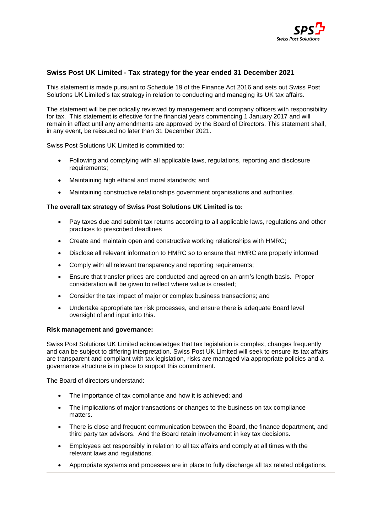

# **Swiss Post UK Limited - Tax strategy for the year ended 31 December 2021**

This statement is made pursuant to Schedule 19 of the Finance Act 2016 and sets out Swiss Post Solutions UK Limited's tax strategy in relation to conducting and managing its UK tax affairs.

The statement will be periodically reviewed by management and company officers with responsibility for tax. This statement is effective for the financial years commencing 1 January 2017 and will remain in effect until any amendments are approved by the Board of Directors. This statement shall, in any event, be reissued no later than 31 December 2021.

Swiss Post Solutions UK Limited is committed to:

- Following and complying with all applicable laws, regulations, reporting and disclosure requirements;
- Maintaining high ethical and moral standards; and
- Maintaining constructive relationships government organisations and authorities.

## **The overall tax strategy of Swiss Post Solutions UK Limited is to:**

- Pay taxes due and submit tax returns according to all applicable laws, regulations and other practices to prescribed deadlines
- Create and maintain open and constructive working relationships with HMRC;
- Disclose all relevant information to HMRC so to ensure that HMRC are properly informed
- Comply with all relevant transparency and reporting requirements;
- Ensure that transfer prices are conducted and agreed on an arm's length basis. Proper consideration will be given to reflect where value is created;
- Consider the tax impact of major or complex business transactions; and
- Undertake appropriate tax risk processes, and ensure there is adequate Board level oversight of and input into this.

#### **Risk management and governance:**

Swiss Post Solutions UK Limited acknowledges that tax legislation is complex, changes frequently and can be subject to differing interpretation. Swiss Post UK Limited will seek to ensure its tax affairs are transparent and compliant with tax legislation, risks are managed via appropriate policies and a governance structure is in place to support this commitment.

The Board of directors understand:

- The importance of tax compliance and how it is achieved; and
- The implications of major transactions or changes to the business on tax compliance matters.
- There is close and frequent communication between the Board, the finance department, and third party tax advisors. And the Board retain involvement in key tax decisions.
- Employees act responsibly in relation to all tax affairs and comply at all times with the relevant laws and regulations.
- Appropriate systems and processes are in place to fully discharge all tax related obligations.